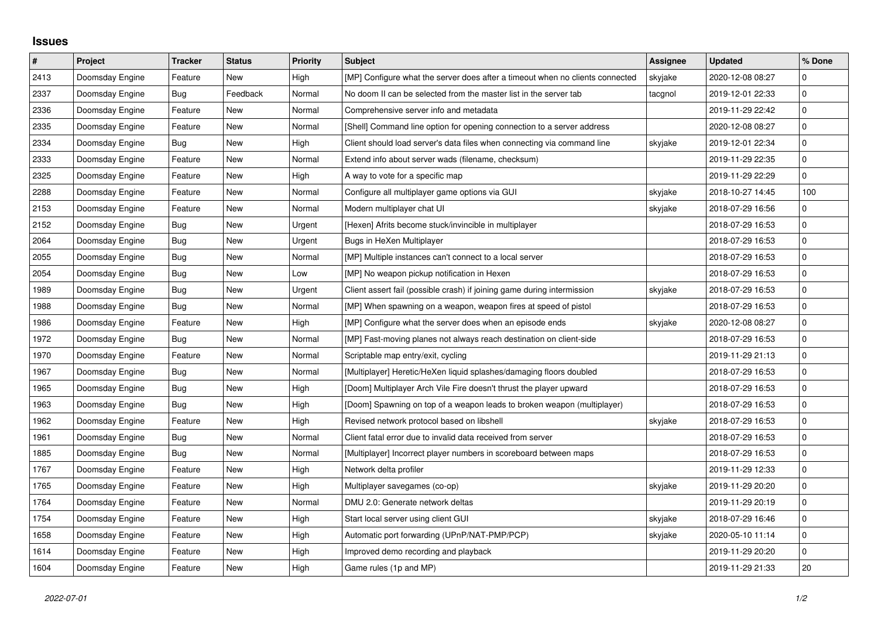## **Issues**

| $\vert$ # | Project         | <b>Tracker</b> | <b>Status</b> | <b>Priority</b> | <b>Subject</b>                                                                | Assignee | <b>Updated</b>   | % Done      |
|-----------|-----------------|----------------|---------------|-----------------|-------------------------------------------------------------------------------|----------|------------------|-------------|
| 2413      | Doomsday Engine | Feature        | <b>New</b>    | High            | [MP] Configure what the server does after a timeout when no clients connected | skyjake  | 2020-12-08 08:27 | $\mathbf 0$ |
| 2337      | Doomsday Engine | Bug            | Feedback      | Normal          | No doom II can be selected from the master list in the server tab             | tacgnol  | 2019-12-01 22:33 | $\mathbf 0$ |
| 2336      | Doomsday Engine | Feature        | New           | Normal          | Comprehensive server info and metadata                                        |          | 2019-11-29 22:42 | 0           |
| 2335      | Doomsday Engine | Feature        | New           | Normal          | [Shell] Command line option for opening connection to a server address        |          | 2020-12-08 08:27 | $\mathbf 0$ |
| 2334      | Doomsday Engine | Bug            | <b>New</b>    | High            | Client should load server's data files when connecting via command line       | skyjake  | 2019-12-01 22:34 | $\pmb{0}$   |
| 2333      | Doomsday Engine | Feature        | New           | Normal          | Extend info about server wads (filename, checksum)                            |          | 2019-11-29 22:35 | $\mathbf 0$ |
| 2325      | Doomsday Engine | Feature        | New           | High            | A way to vote for a specific map                                              |          | 2019-11-29 22:29 | $\Omega$    |
| 2288      | Doomsday Engine | Feature        | New           | Normal          | Configure all multiplayer game options via GUI                                | skyjake  | 2018-10-27 14:45 | 100         |
| 2153      | Doomsday Engine | Feature        | New           | Normal          | Modern multiplayer chat UI                                                    | skyjake  | 2018-07-29 16:56 | $\mathbf 0$ |
| 2152      | Doomsday Engine | Bug            | New           | Urgent          | [Hexen] Afrits become stuck/invincible in multiplayer                         |          | 2018-07-29 16:53 | $\mathbf 0$ |
| 2064      | Doomsday Engine | <b>Bug</b>     | New           | Urgent          | Bugs in HeXen Multiplayer                                                     |          | 2018-07-29 16:53 | $\mathbf 0$ |
| 2055      | Doomsday Engine | Bug            | New           | Normal          | [MP] Multiple instances can't connect to a local server                       |          | 2018-07-29 16:53 | $\mathbf 0$ |
| 2054      | Doomsday Engine | Bug            | <b>New</b>    | Low             | [MP] No weapon pickup notification in Hexen                                   |          | 2018-07-29 16:53 | $\mathbf 0$ |
| 1989      | Doomsday Engine | Bug            | New           | Urgent          | Client assert fail (possible crash) if joining game during intermission       | skyjake  | 2018-07-29 16:53 | $\mathbf 0$ |
| 1988      | Doomsday Engine | Bug            | New           | Normal          | [MP] When spawning on a weapon, weapon fires at speed of pistol               |          | 2018-07-29 16:53 | $\mathbf 0$ |
| 1986      | Doomsday Engine | Feature        | New           | High            | [MP] Configure what the server does when an episode ends                      | skyjake  | 2020-12-08 08:27 | $\mathbf 0$ |
| 1972      | Doomsday Engine | Bug            | <b>New</b>    | Normal          | [MP] Fast-moving planes not always reach destination on client-side           |          | 2018-07-29 16:53 | $\mathbf 0$ |
| 1970      | Doomsday Engine | Feature        | New           | Normal          | Scriptable map entry/exit, cycling                                            |          | 2019-11-29 21:13 | $\mathbf 0$ |
| 1967      | Doomsday Engine | Bug            | <b>New</b>    | Normal          | [Multiplayer] Heretic/HeXen liquid splashes/damaging floors doubled           |          | 2018-07-29 16:53 | $\mathbf 0$ |
| 1965      | Doomsday Engine | Bug            | New           | High            | [Doom] Multiplayer Arch Vile Fire doesn't thrust the player upward            |          | 2018-07-29 16:53 | $\mathbf 0$ |
| 1963      | Doomsday Engine | Bug            | New           | High            | [Doom] Spawning on top of a weapon leads to broken weapon (multiplayer)       |          | 2018-07-29 16:53 | $\pmb{0}$   |
| 1962      | Doomsday Engine | Feature        | <b>New</b>    | High            | Revised network protocol based on libshell                                    | skyjake  | 2018-07-29 16:53 | $\mathbf 0$ |
| 1961      | Doomsday Engine | Bug            | New           | Normal          | Client fatal error due to invalid data received from server                   |          | 2018-07-29 16:53 | $\mathbf 0$ |
| 1885      | Doomsday Engine | Bug            | New           | Normal          | [Multiplayer] Incorrect player numbers in scoreboard between maps             |          | 2018-07-29 16:53 | $\mathbf 0$ |
| 1767      | Doomsday Engine | Feature        | New           | High            | Network delta profiler                                                        |          | 2019-11-29 12:33 | $\mathbf 0$ |
| 1765      | Doomsday Engine | Feature        | New           | High            | Multiplayer savegames (co-op)                                                 | skyjake  | 2019-11-29 20:20 | $\mathbf 0$ |
| 1764      | Doomsday Engine | Feature        | New           | Normal          | DMU 2.0: Generate network deltas                                              |          | 2019-11-29 20:19 | $\mathbf 0$ |
| 1754      | Doomsday Engine | Feature        | New           | High            | Start local server using client GUI                                           | skyjake  | 2018-07-29 16:46 | $\mathbf 0$ |
| 1658      | Doomsday Engine | Feature        | New           | High            | Automatic port forwarding (UPnP/NAT-PMP/PCP)                                  | skyjake  | 2020-05-10 11:14 | $\mathbf 0$ |
| 1614      | Doomsday Engine | Feature        | New           | High            | Improved demo recording and playback                                          |          | 2019-11-29 20:20 | $\mathbf 0$ |
| 1604      | Doomsday Engine | Feature        | New           | High            | Game rules (1p and MP)                                                        |          | 2019-11-29 21:33 | 20          |